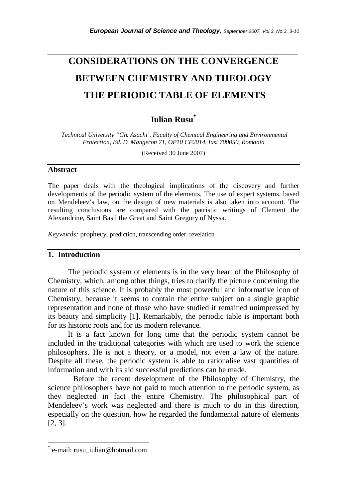# **CONSIDERATIONS ON THE CONVERGENCE BETWEEN CHEMISTRY AND THEOLOGY THE PERIODIC TABLE OF ELEMENTS**

*\_\_\_\_\_\_\_\_\_\_\_\_\_\_\_\_\_\_\_\_\_\_\_\_\_\_\_\_\_\_\_\_\_\_\_\_\_\_\_\_\_\_\_\_\_\_\_\_\_\_\_\_\_\_\_\_\_\_\_\_\_\_\_\_\_\_\_\_\_\_\_* 

## **Iulian Rusu\***

 *Technical University "Gh. Asachi', Faculty of Chemical Engineering and Environmental Protection, Bd. D. Mangeron 71, OP10 CP2014, Iasi 700050, Romania* 

(Received 30 June 2007)

### **Abstract**

The paper deals with the theological implications of the discovery and further developments of the periodic system of the elements. The use of expert systems, based on Mendeleev's law, on the design of new materials is also taken into account. The resulting conclusions are compared with the patristic writings of Clement the Alexandrine, Saint Basil the Great and Saint Gregory of Nyssa.

*Keywords:* prophecy, prediction, transcending order, revelation

## **1. Introduction**

The periodic system of elements is in the very heart of the Philosophy of Chemistry, which, among other things, tries to clarify the picture concerning the nature of this science. It is probably the most powerful and informative icon of Chemistry, because it seems to contain the entire subject on a single graphic representation and none of those who have studied it remained unimpressed by its beauty and simplicity [1]. Remarkably, the periodic table is important both for its historic roots and for its modern relevance.

It is a fact known for long time that the periodic system cannot be included in the traditional categories with which are used to work the science philosophers. He is not a theory, or a model, not even a law of the nature. Despite all these, the periodic system is able to rationalise vast quantities of information and with its aid successful predictions can be made.

 Before the recent development of the Philosophy of Chemistry, the science philosophers have not paid to much attention to the periodic system, as they neglected in fact the entire Chemistry. The philosophical part of Mendeleev's work was neglected and there is much to do in this direction, especially on the question, how he regarded the fundamental nature of elements [2, 3].

l

<sup>\*</sup> e-mail: rusu\_iulian@hotmail.com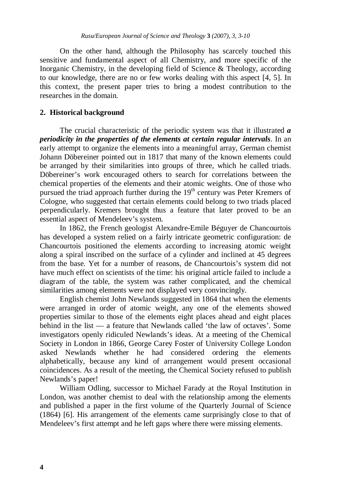On the other hand, although the Philosophy has scarcely touched this sensitive and fundamental aspect of all Chemistry, and more specific of the Inorganic Chemistry, in the developing field of Science & Theology, according to our knowledge, there are no or few works dealing with this aspect [4, 5]. In this context, the present paper tries to bring a modest contribution to the researches in the domain.

### **2. Historical background**

The crucial characteristic of the periodic system was that it illustrated *a periodicity in the properties of the elements at certain regular intervals*. In an early attempt to organize the elements into a meaningful array, German chemist Johann Döbereiner pointed out in 1817 that many of the known elements could be arranged by their similarities into groups of three, which he called triads. Döbereiner's work encouraged others to search for correlations between the chemical properties of the elements and their atomic weights. One of those who pursued the triad approach further during the  $19<sup>th</sup>$  century was Peter Kremers of Cologne, who suggested that certain elements could belong to two triads placed perpendicularly. Kremers brought thus a feature that later proved to be an essential aspect of Mendeleev's system.

In 1862, the French geologist Alexandre-Emile Béguyer de Chancourtois has developed a system relied on a fairly intricate geometric configuration: de Chancourtois positioned the elements according to increasing atomic weight along a spiral inscribed on the surface of a cylinder and inclined at 45 degrees from the base. Yet for a number of reasons, de Chancourtois's system did not have much effect on scientists of the time: his original article failed to include a diagram of the table, the system was rather complicated, and the chemical similarities among elements were not displayed very convincingly.

English chemist John Newlands suggested in 1864 that when the elements were arranged in order of atomic weight, any one of the elements showed properties similar to those of the elements eight places ahead and eight places behind in the list — a feature that Newlands called 'the law of octaves'. Some investigators openly ridiculed Newlands's ideas. At a meeting of the Chemical Society in London in 1866, George Carey Foster of University College London asked Newlands whether he had considered ordering the elements alphabetically, because any kind of arrangement would present occasional coincidences. As a result of the meeting, the Chemical Society refused to publish Newlands's paper!

William Odling, successor to Michael Farady at the Royal Institution in London, was another chemist to deal with the relationship among the elements and published a paper in the first volume of the Quarterly Journal of Science (1864) [6]. His arrangement of the elements came surprisingly close to that of Mendeleev's first attempt and he left gaps where there were missing elements.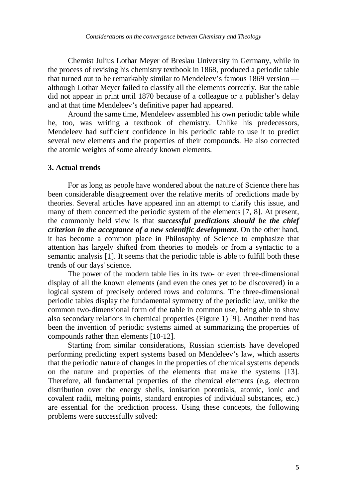Chemist Julius Lothar Meyer of Breslau University in Germany, while in the process of revising his chemistry textbook in 1868, produced a periodic table that turned out to be remarkably similar to Mendeleev's famous 1869 version although Lothar Meyer failed to classify all the elements correctly. But the table did not appear in print until 1870 because of a colleague or a publisher's delay and at that time Mendeleev's definitive paper had appeared.

Around the same time, Mendeleev assembled his own periodic table while he, too, was writing a textbook of chemistry. Unlike his predecessors, Mendeleev had sufficient confidence in his periodic table to use it to predict several new elements and the properties of their compounds. He also corrected the atomic weights of some already known elements.

#### **3. Actual trends**

For as long as people have wondered about the nature of Science there has been considerable disagreement over the relative merits of predictions made by theories. Several articles have appeared inn an attempt to clarify this issue, and many of them concerned the periodic system of the elements [7, 8]. At present, the commonly held view is that *successful predictions should be the chief criterion in the acceptance of a new scientific development*. On the other hand, it has become a common place in Philosophy of Science to emphasize that attention has largely shifted from theories to models or from a syntactic to a semantic analysis [1]. It seems that the periodic table is able to fulfill both these trends of our days' science.

The power of the modern table lies in its two- or even three-dimensional display of all the known elements (and even the ones yet to be discovered) in a logical system of precisely ordered rows and columns. The three-dimensional periodic tables display the fundamental symmetry of the periodic law, unlike the common two-dimensional form of the table in common use, being able to show also secondary relations in chemical properties (Figure 1) [9]. Another trend has been the invention of periodic systems aimed at summarizing the properties of compounds rather than elements [10-12].

Starting from similar considerations, Russian scientists have developed performing predicting expert systems based on Mendeleev's law, which asserts that the periodic nature of changes in the properties of chemical systems depends on the nature and properties of the elements that make the systems [13]. Therefore, all fundamental properties of the chemical elements (e.g. electron distribution over the energy shells, ionisation potentials, atomic, ionic and covalent radii, melting points, standard entropies of individual substances, etc.) are essential for the prediction process. Using these concepts, the following problems were successfully solved: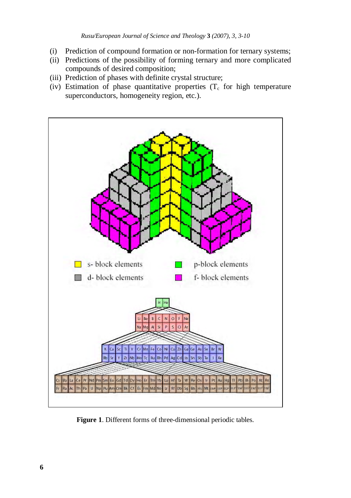- (i) Prediction of compound formation or non-formation for ternary systems;
- (ii) Predictions of the possibility of forming ternary and more complicated compounds of desired composition;
- (iii) Prediction of phases with definite crystal structure;
- (iv) Estimation of phase quantitative properties  $(T_c)$  for high temperature superconductors, homogeneity region, etc.).



**Figure 1**. Different forms of three-dimensional periodic tables.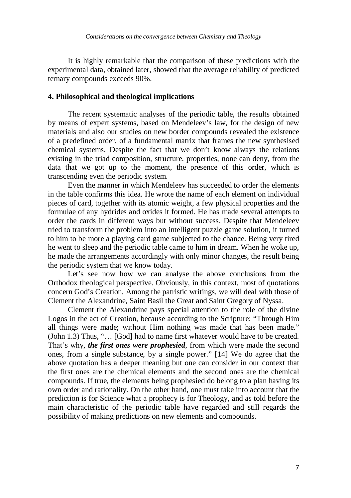It is highly remarkable that the comparison of these predictions with the experimental data, obtained later, showed that the average reliability of predicted ternary compounds exceeds 90%.

### **4. Philosophical and theological implications**

The recent systematic analyses of the periodic table, the results obtained by means of expert systems, based on Mendeleev's law, for the design of new materials and also our studies on new border compounds revealed the existence of a predefined order, of a fundamental matrix that frames the new synthesised chemical systems. Despite the fact that we don't know always the relations existing in the triad composition, structure, properties, none can deny, from the data that we got up to the moment, the presence of this order, which is transcending even the periodic system.

Even the manner in which Mendeleev has succeeded to order the elements in the table confirms this idea. He wrote the name of each element on individual pieces of card, together with its atomic weight, a few physical properties and the formulae of any hydrides and oxides it formed. He has made several attempts to order the cards in different ways but without success. Despite that Mendeleev tried to transform the problem into an intelligent puzzle game solution, it turned to him to be more a playing card game subjected to the chance. Being very tired he went to sleep and the periodic table came to him in dream. When he woke up, he made the arrangements accordingly with only minor changes, the result being the periodic system that we know today.

Let's see now how we can analyse the above conclusions from the Orthodox theological perspective. Obviously, in this context, most of quotations concern God's Creation. Among the patristic writings, we will deal with those of Clement the Alexandrine, Saint Basil the Great and Saint Gregory of Nyssa.

Clement the Alexandrine pays special attention to the role of the divine Logos in the act of Creation, because according to the Scripture: "Through Him all things were made; without Him nothing was made that has been made." (John 1.3) Thus, "… [God] had to name first whatever would have to be created. That's why, *the first ones were prophesied*, from which were made the second ones, from a single substance, by a single power." [14] We do agree that the above quotation has a deeper meaning but one can consider in our context that the first ones are the chemical elements and the second ones are the chemical compounds. If true, the elements being prophesied do belong to a plan having its own order and rationality. On the other hand, one must take into account that the prediction is for Science what a prophecy is for Theology, and as told before the main characteristic of the periodic table have regarded and still regards the possibility of making predictions on new elements and compounds.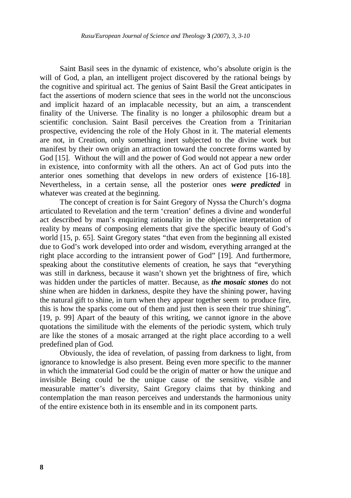Saint Basil sees in the dynamic of existence, who's absolute origin is the will of God, a plan, an intelligent project discovered by the rational beings by the cognitive and spiritual act. The genius of Saint Basil the Great anticipates in fact the assertions of modern science that sees in the world not the unconscious and implicit hazard of an implacable necessity, but an aim, a transcendent finality of the Universe. The finality is no longer a philosophic dream but a scientific conclusion. Saint Basil perceives the Creation from a Trinitarian prospective, evidencing the role of the Holy Ghost in it. The material elements are not, in Creation, only something inert subjected to the divine work but manifest by their own origin an attraction toward the concrete forms wanted by God [15]. Without the will and the power of God would not appear a new order in existence, into conformity with all the others. An act of God puts into the anterior ones something that develops in new orders of existence [16-18]. Nevertheless, in a certain sense, all the posterior ones *were predicted* in whatever was created at the beginning.

The concept of creation is for Saint Gregory of Nyssa the Church's dogma articulated to Revelation and the term 'creation' defines a divine and wonderful act described by man's enquiring rationality in the objective interpretation of reality by means of composing elements that give the specific beauty of God's world [15, p. 65]. Saint Gregory states "that even from the beginning all existed due to God's work developed into order and wisdom, everything arranged at the right place according to the intransient power of God" [19]. And furthermore, speaking about the constitutive elements of creation, he says that "everything was still in darkness, because it wasn't shown yet the brightness of fire, which was hidden under the particles of matter. Because, as *the mosaic stones* do not shine when are hidden in darkness, despite they have the shining power, having the natural gift to shine, in turn when they appear together seem to produce fire, this is how the sparks come out of them and just then is seen their true shining". [19, p. 99] Apart of the beauty of this writing, we cannot ignore in the above quotations the similitude with the elements of the periodic system, which truly are like the stones of a mosaic arranged at the right place according to a well predefined plan of God.

Obviously, the idea of revelation, of passing from darkness to light, from ignorance to knowledge is also present. Being even more specific to the manner in which the immaterial God could be the origin of matter or how the unique and invisible Being could be the unique cause of the sensitive, visible and measurable matter's diversity, Saint Gregory claims that by thinking and contemplation the man reason perceives and understands the harmonious unity of the entire existence both in its ensemble and in its component parts.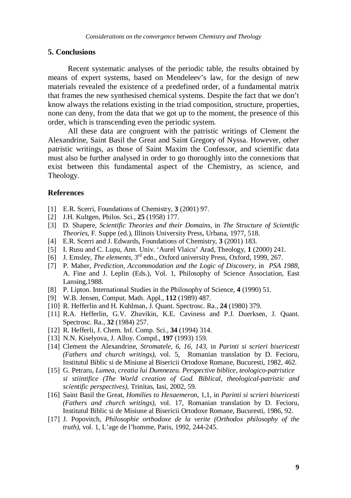#### **5. Conclusions**

Recent systematic analyses of the periodic table, the results obtained by means of expert systems, based on Mendeleev's law, for the design of new materials revealed the existence of a predefined order, of a fundamental matrix that frames the new synthesised chemical systems. Despite the fact that we don't know always the relations existing in the triad composition, structure, properties, none can deny, from the data that we got up to the moment, the presence of this order, which is transcending even the periodic system.

All these data are congruent with the patristic writings of Clement the Alexandrine, Saint Basil the Great and Saint Gregory of Nyssa. However, other patristic writings, as those of Saint Maxim the Confessor, and scientific data must also be further analysed in order to go thoroughly into the connexions that exist between this fundamental aspect of the Chemistry, as science, and Theology.

#### **References**

- [1] E.R. Scerri, Foundations of Chemistry, **3** (2001) 97.
- [2] J.H. Kultgen, Philos. Sci., **25** (1958) 177.
- [3] D. Shapere, *Scientific Theories and their Domains*, in *The Structure of Scientific Theories*, F. Suppe (ed.), Illinois University Press, Urbana, 1977, 518.
- [4] E.R. Scerri and J. Edwards, Foundations of Chemistry, **3** (2001) 183.
- [5] I. Rusu and C. Lupu, Ann. Univ. 'Aurel Vlaicu' Arad, Theology, **1** (2000) 241.
- [6] J. Emsley, *The elements*, 3rd edn., Oxford university Press, Oxford, 1999, 267.
- [7] P. Maher, *Prediction, Accommodation and the Logic of Discovery,* in *PSA 1988*, A. Fine and J. Leplin (Eds.), Vol. 1, Philosophy of Science Association, East Lansing,1988.
- [8] P. Lipton. International Studies in the Philosophy of Science, **4** (1990) 51.
- [9] W.B. Jensen, Comput. Math. Appl., **112** (1989) 487.
- [10] R. Hefferlin and H. Kuhlman, J. Quant. Spectrosc. Ra., **24** (1980) 379.
- [11] R.A. Hefferlin, G.V. Zhuvikin, K.E. Caviness and P.J. Duerksen, J. Quant. Spectrosc. Ra., **32** (1984) 257.
- [12] R. Hefferli, J. Chem. Inf. Comp. Sci., **34** (1994) 314.
- [13] N.N. Kiselyova, J. Alloy. Compd., **197** (1993) 159.
- [14] Clement the Alexandrine, *Stromatele, 6, 16, 143*, in *Parinti si scrieri bisericesti (Fathers and church writings)*, vol. 5, Romanian translation by D. Fecioru, Institutul Biblic si de Misiune al Bisericii Ortodoxe Romane, Bucuresti, 1982, 462.
- [15] G. Petraru, *Lumea, creatia lui Dumnezeu. Perspective biblice, teologico-patristice si stiintifice (The World creation of God. Biblical, theological-patristic and scientific perspectives)*, Trinitas, Iasi, 2002, 59.
- [16] Saint Basil the Great, *Homilies to Hexaemeron*, 1,1, in *Parinti si scrieri bisericesti (Fathers and church writings)*, vol. 17, Romanian translation by D. Fecioru, Institutul Biblic si de Misiune al Bisericii Ortodoxe Romane, Bucuresti, 1986, 92.
- [17] J. Popovitch, *Philosophie orthodoxe de la verite (Orthodox philosophy of the truth)*, vol. 1, L'age de l'homme, Paris, 1992, 244-245.